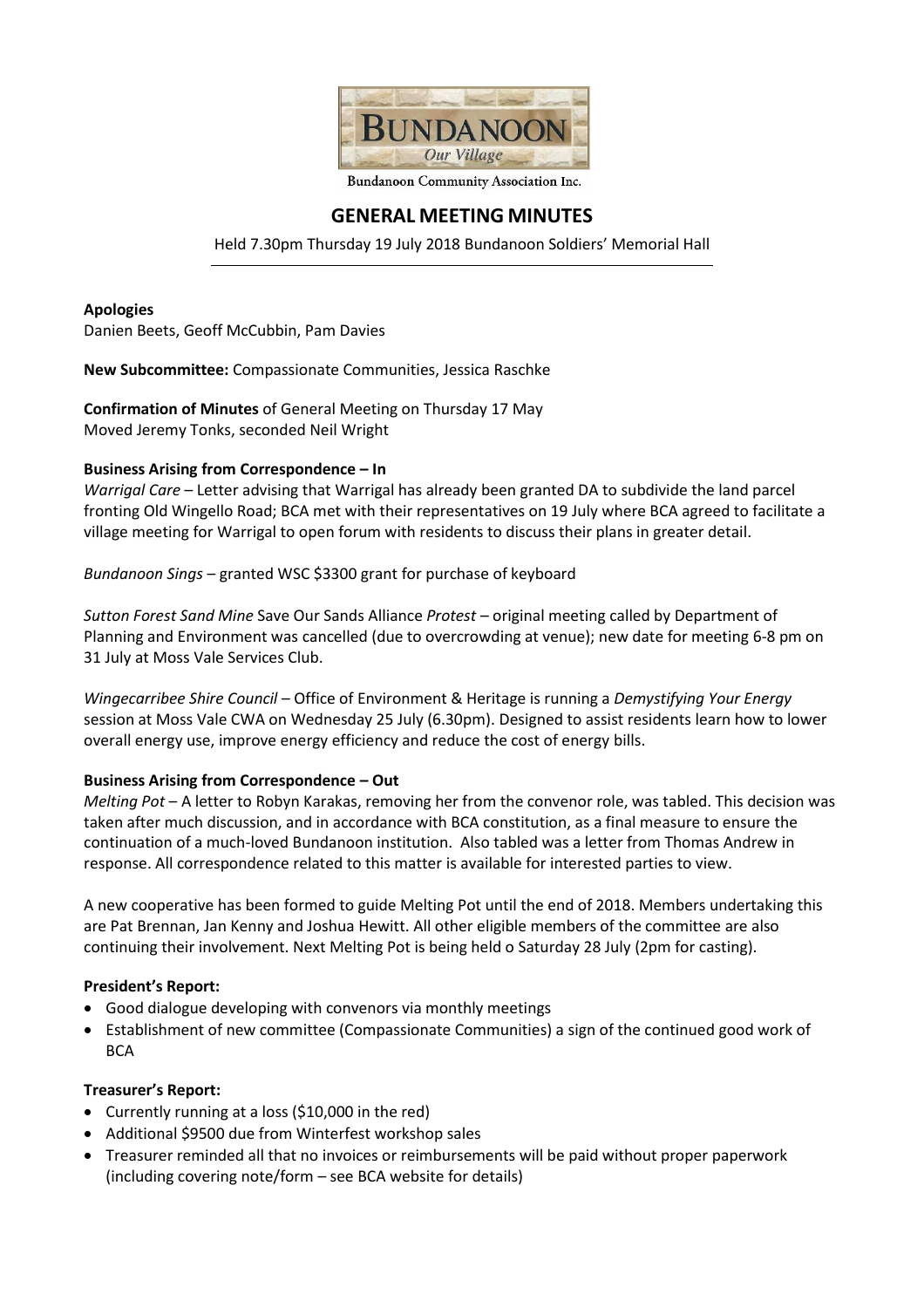

#### Bundanoon Community Association Inc.

# **GENERAL MEETING MINUTES**

Held 7.30pm Thursday 19 July 2018 Bundanoon Soldiers' Memorial Hall

#### **Apologies**

Danien Beets, Geoff McCubbin, Pam Davies

**New Subcommittee:** Compassionate Communities, Jessica Raschke

**Confirmation of Minutes** of General Meeting on Thursday 17 May Moved Jeremy Tonks, seconded Neil Wright

# **Business Arising from Correspondence – In**

*Warrigal Care* – Letter advising that Warrigal has already been granted DA to subdivide the land parcel fronting Old Wingello Road; BCA met with their representatives on 19 July where BCA agreed to facilitate a village meeting for Warrigal to open forum with residents to discuss their plans in greater detail.

*Bundanoon Sings* – granted WSC \$3300 grant for purchase of keyboard

*Sutton Forest Sand Mine* Save Our Sands Alliance *Protest* – original meeting called by Department of Planning and Environment was cancelled (due to overcrowding at venue); new date for meeting 6-8 pm on 31 July at Moss Vale Services Club.

*Wingecarribee Shire Council* – Office of Environment & Heritage is running a *Demystifying Your Energy*  session at Moss Vale CWA on Wednesday 25 July (6.30pm). Designed to assist residents learn how to lower overall energy use, improve energy efficiency and reduce the cost of energy bills.

# **Business Arising from Correspondence – Out**

*Melting Pot* – A letter to Robyn Karakas, removing her from the convenor role, was tabled. This decision was taken after much discussion, and in accordance with BCA constitution, as a final measure to ensure the continuation of a much-loved Bundanoon institution. Also tabled was a letter from Thomas Andrew in response. All correspondence related to this matter is available for interested parties to view.

A new cooperative has been formed to guide Melting Pot until the end of 2018. Members undertaking this are Pat Brennan, Jan Kenny and Joshua Hewitt. All other eligible members of the committee are also continuing their involvement. Next Melting Pot is being held o Saturday 28 July (2pm for casting).

# **President's Report:**

- Good dialogue developing with convenors via monthly meetings
- Establishment of new committee (Compassionate Communities) a sign of the continued good work of **BCA**

# **Treasurer's Report:**

- Currently running at a loss (\$10,000 in the red)
- Additional \$9500 due from Winterfest workshop sales
- Treasurer reminded all that no invoices or reimbursements will be paid without proper paperwork (including covering note/form – see BCA website for details)